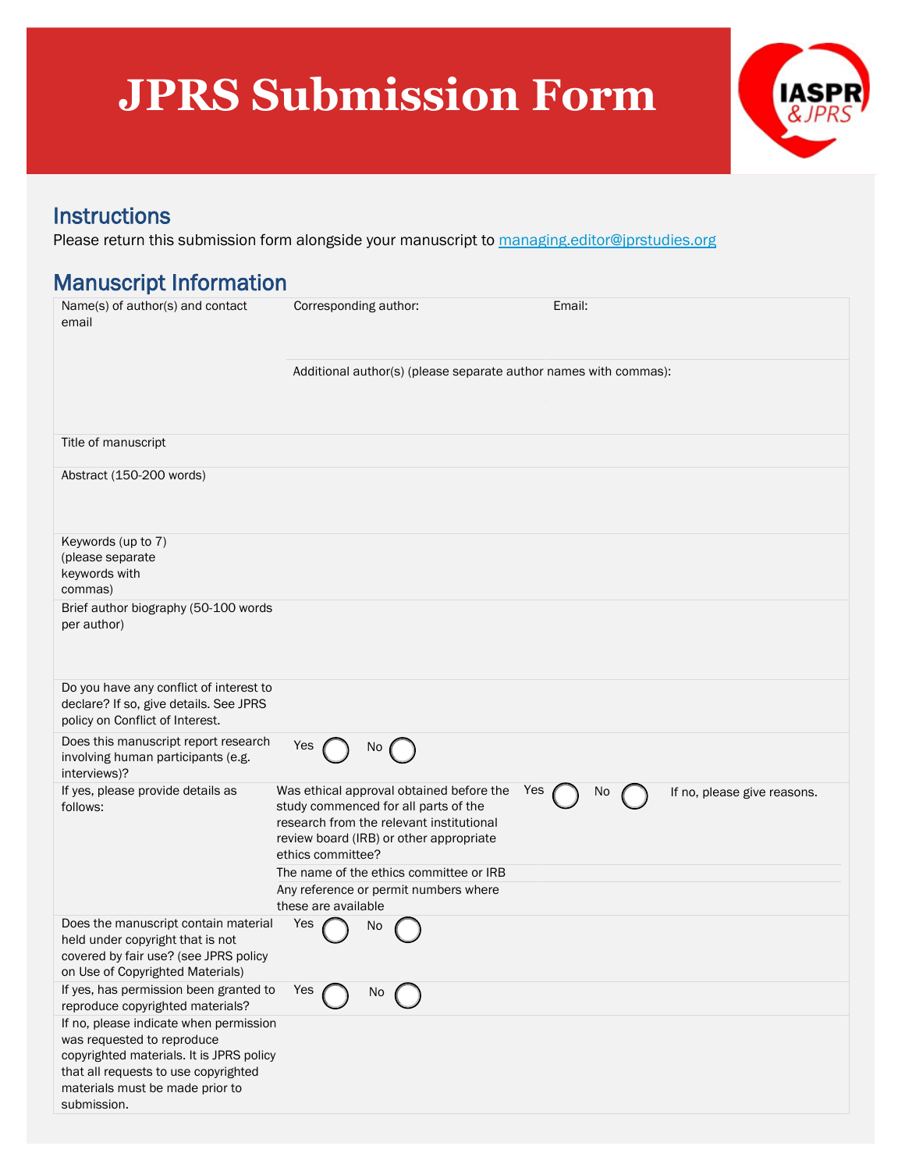## **JPRS Submission Form**



Instructions<br>Please return this submission form alongside your manuscript to [managing.editor@jprstudies.org](mailto:managing.editor@jprstudies.org)

## Manuscript Information

| Name(s) of author(s) and contact<br>email                                                                                                                                                                  | Corresponding author:                                                                                                                                                                                                                                                                                          | Email:                            |
|------------------------------------------------------------------------------------------------------------------------------------------------------------------------------------------------------------|----------------------------------------------------------------------------------------------------------------------------------------------------------------------------------------------------------------------------------------------------------------------------------------------------------------|-----------------------------------|
|                                                                                                                                                                                                            | Additional author(s) (please separate author names with commas):                                                                                                                                                                                                                                               |                                   |
| Title of manuscript                                                                                                                                                                                        |                                                                                                                                                                                                                                                                                                                |                                   |
| Abstract (150-200 words)                                                                                                                                                                                   |                                                                                                                                                                                                                                                                                                                |                                   |
| Keywords (up to 7)<br>(please separate<br>keywords with<br>commas)                                                                                                                                         |                                                                                                                                                                                                                                                                                                                |                                   |
| Brief author biography (50-100 words<br>per author)                                                                                                                                                        |                                                                                                                                                                                                                                                                                                                |                                   |
| Do you have any conflict of interest to<br>declare? If so, give details. See JPRS<br>policy on Conflict of Interest.                                                                                       |                                                                                                                                                                                                                                                                                                                |                                   |
| Does this manuscript report research<br>involving human participants (e.g.<br>interviews)?                                                                                                                 | Yes<br>No                                                                                                                                                                                                                                                                                                      |                                   |
| If yes, please provide details as<br>follows:                                                                                                                                                              | Was ethical approval obtained before the<br>Yes<br>study commenced for all parts of the<br>research from the relevant institutional<br>review board (IRB) or other appropriate<br>ethics committee?<br>The name of the ethics committee or IRB<br>Any reference or permit numbers where<br>these are available | No<br>If no, please give reasons. |
| Does the manuscript contain material<br>held under copyright that is not<br>covered by fair use? (see JPRS policy<br>on Use of Copyrighted Materials)                                                      | Yes<br>No                                                                                                                                                                                                                                                                                                      |                                   |
| If yes, has permission been granted to<br>reproduce copyrighted materials?                                                                                                                                 | Yes<br>No                                                                                                                                                                                                                                                                                                      |                                   |
| If no, please indicate when permission<br>was requested to reproduce<br>copyrighted materials. It is JPRS policy<br>that all requests to use copyrighted<br>materials must be made prior to<br>submission. |                                                                                                                                                                                                                                                                                                                |                                   |